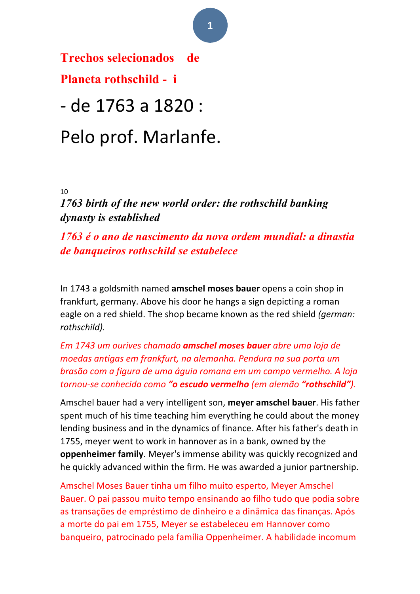**Trechos selecionados de Planeta rothschild - i** 

- de 1763 a 1820 :

# Pelo prof. Marlanfe.

10 

*1763 birth of the new world order: the rothschild banking dynasty is established*

*1763 é o ano de nascimento da nova ordem mundial: a dinastia de banqueiros rothschild se estabelece*

In 1743 a goldsmith named **amschel moses bauer** opens a coin shop in frankfurt, germany. Above his door he hangs a sign depicting a roman eagle on a red shield. The shop became known as the red shield *(german: rothschild).*

*Em 1743 um ourives chamado amschel moses bauer abre uma loja de moedas antigas em frankfurt, na alemanha. Pendura na sua porta um brasão com a figura de uma águia romana em um campo vermelho. A loja tornou-se conhecida como "o escudo vermelho (em alemão "rothschild").*

Amschel bauer had a very intelligent son, meyer amschel bauer. His father spent much of his time teaching him everything he could about the money lending business and in the dynamics of finance. After his father's death in 1755, meyer went to work in hannover as in a bank, owned by the **oppenheimer family**. Meyer's immense ability was quickly recognized and he quickly advanced within the firm. He was awarded a junior partnership.

Amschel Moses Bauer tinha um filho muito esperto, Meyer Amschel Bauer. O pai passou muito tempo ensinando ao filho tudo que podia sobre as transações de empréstimo de dinheiro e a dinâmica das finanças. Após a morte do pai em 1755, Meyer se estabeleceu em Hannover como banqueiro, patrocinado pela família Oppenheimer. A habilidade incomum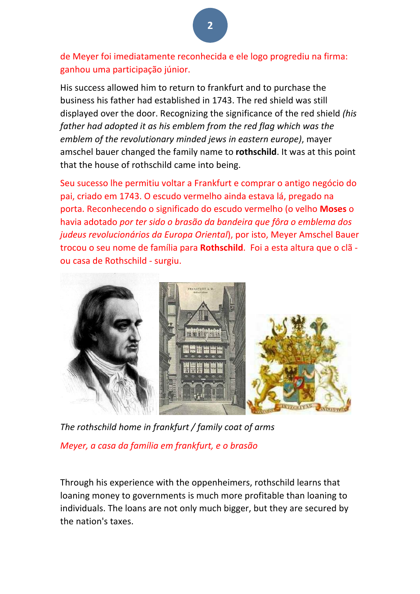de Meyer foi imediatamente reconhecida e ele logo progrediu na firma: ganhou uma participação júnior.

His success allowed him to return to frankfurt and to purchase the business his father had established in 1743. The red shield was still displayed over the door. Recognizing the significance of the red shield *(his* father had adopted it as his emblem from the red flag which was the *emblem of the revolutionary minded jews in eastern europe)*, mayer amschel bauer changed the family name to **rothschild**. It was at this point that the house of rothschild came into being.

Seu sucesso lhe permitiu voltar a Frankfurt e comprar o antigo negócio do pai, criado em 1743. O escudo vermelho ainda estava lá, pregado na porta. Reconhecendo o significado do escudo vermelho (o velho Moses o havia adotado *por ter sido o brasão da bandeira que fôra o emblema dos judeus revolucionários da Europa Oriental*), por isto, Meyer Amschel Bauer trocou o seu nome de família para **Rothschild**. Foi a esta altura que o clã ou casa de Rothschild - surgiu.



The rothschild home in frankfurt / family coat of arms *Meyer, a casa da família em frankfurt, e o brasão*

Through his experience with the oppenheimers, rothschild learns that loaning money to governments is much more profitable than loaning to individuals. The loans are not only much bigger, but they are secured by the nation's taxes.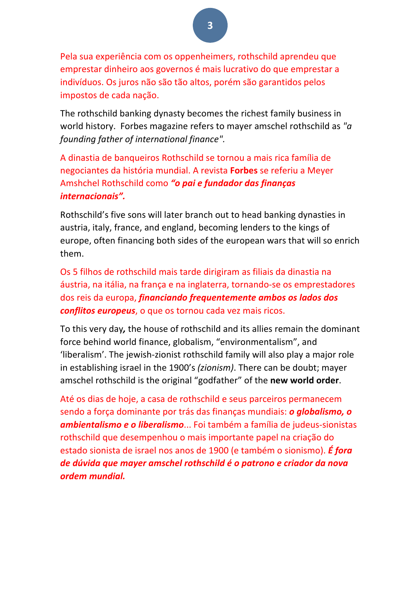Pela sua experiência com os oppenheimers, rothschild aprendeu que emprestar dinheiro aos governos é mais lucrativo do que emprestar a indivíduos. Os juros não são tão altos, porém são garantidos pelos impostos de cada nação.

The rothschild banking dynasty becomes the richest family business in world history. Forbes magazine refers to mayer amschel rothschild as "a *founding father of international finance".* 

A dinastia de banqueiros Rothschild se tornou a mais rica família de negociantes da história mundial. A revista **Forbes** se referiu a Meyer Amshchel Rothschild como "o pai e fundador das finanças *internacionais".*

Rothschild's five sons will later branch out to head banking dynasties in austria, italy, france, and england, becoming lenders to the kings of europe, often financing both sides of the european wars that will so enrich them.

Os 5 filhos de rothschild mais tarde dirigiram as filiais da dinastia na áustria, na itália, na frança e na inglaterra, tornando-se os emprestadores dos reis da europa, *financiando frequentemente ambos os lados dos conflitos europeus*, o que os tornou cada vez mais ricos.

To this very day, the house of rothschild and its allies remain the dominant force behind world finance, globalism, "environmentalism", and 'liberalism'. The jewish-zionist rothschild family will also play a major role in establishing israel in the 1900's (*zionism*). There can be doubt; mayer amschel rothschild is the original "godfather" of the **new world order**.

Até os dias de hoje, a casa de rothschild e seus parceiros permanecem sendo a força dominante por trás das finanças mundiais: *o globalismo, o* **ambientalismo e o liberalismo**... Foi também a família de judeus-sionistas rothschild que desempenhou o mais importante papel na criação do estado sionista de israel nos anos de 1900 (e também o sionismo). *É ford de dúvida que mayer amschel rothschild é o patrono e criador da nova ordem mundial.*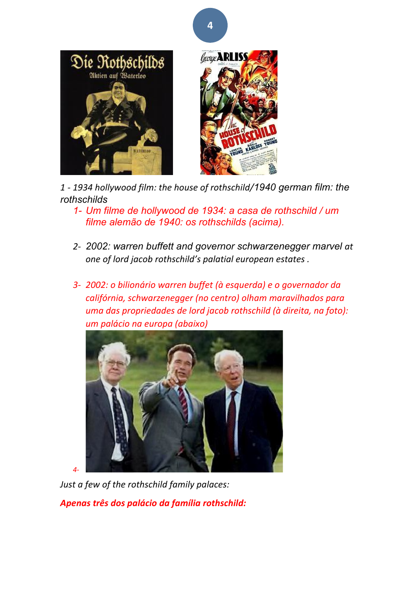



*1 - 1934 hollywood film: the house of rothschild/1940 german film: the rothschilds* 

- *1- Um filme de hollywood de 1934: a casa de rothschild / um filme alemão de 1940: os rothschilds (acima).*
- 2- 2002: warren buffett and governor schwarzenegger marvel at *one of lord jacob rothschild's palatial european estates .*
- *3- 2002: o bilionário warren buffet (à esquerda) e o governador da califórnia, schwarzenegger (no centro) olham maravilhados para uma das propriedades de lord jacob rothschild (à direita, na foto): um palácio na europa (abaixo)*



*4-*

*Just a few of the rothschild family palaces:* 

*Apenas três dos palácio da família rothschild:*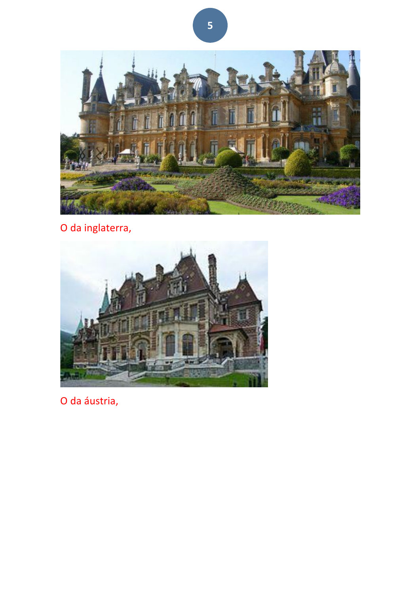

O da inglaterra,



O da áustria,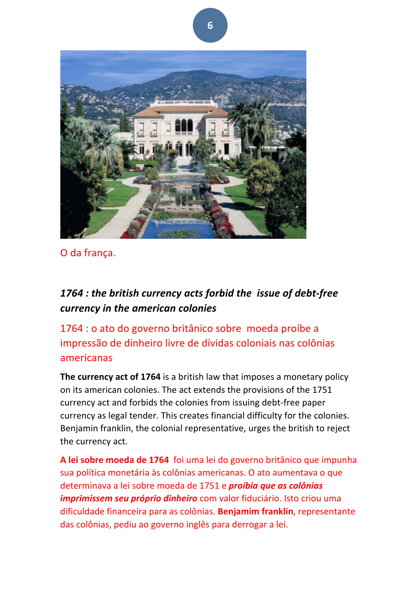

O da frança.

### 1764 : the british currency acts forbid the *issue of debt-free currency in the american colonies*

1764 : o ato do governo britânico sobre moeda proíbe a impressão de dinheiro livre de dívidas coloniais nas colônias americanas

The currency act of 1764 is a british law that imposes a monetary policy on its american colonies. The act extends the provisions of the 1751 currency act and forbids the colonies from issuing debt-free paper currency as legal tender. This creates financial difficulty for the colonies. Benjamin franklin, the colonial representative, urges the british to reject the currency act.

A lei sobre moeda de 1764 foi uma lei do governo britânico que impunha sua política monetária às colônias americanas. O ato aumentava o que determinava a lei sobre moeda de 1751 e *proibia que as colônias imprimissem seu próprio dinheiro* com valor fiduciário. Isto criou uma dificuldade financeira para as colônias. **Benjamim franklin**, representante das colônias, pediu ao governo inglês para derrogar a lei.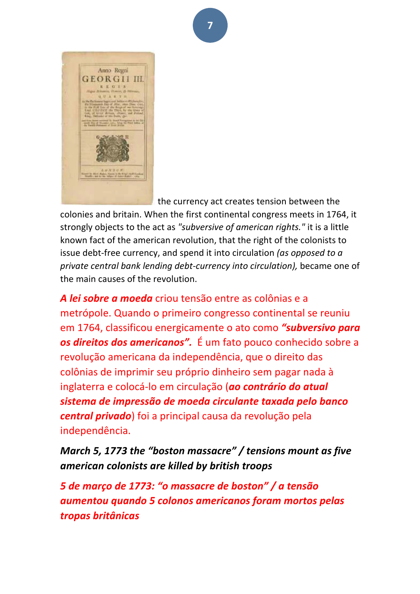

the currency act creates tension between the

colonies and britain. When the first continental congress meets in 1764, it strongly objects to the act as "subversive of american rights." it is a little known fact of the american revolution, that the right of the colonists to issue debt-free currency, and spend it into circulation (as opposed to a *private central bank lending debt-currency into circulation),* became one of the main causes of the revolution.

**A** lei sobre a moeda criou tensão entre as colônias e a metrópole. Quando o primeiro congresso continental se reuniu em 1764, classificou energicamente o ato como "subversivo para os direitos dos americanos". É um fato pouco conhecido sobre a revolução americana da independência, que o direito das colônias de imprimir seu próprio dinheiro sem pagar nada à inglaterra e colocá-lo em circulação (ao contrário do atual *sistema de impressão de moeda circulante taxada pelo banco central privado*) foi a principal causa da revolução pela independência.

*March 5, 1773 the "boston massacre" / tensions mount as five american colonists are killed by british troops*

*5 de março de 1773: "o massacre de boston" / a tensão aumentou quando 5 colonos americanos foram mortos pelas tropas britânicas*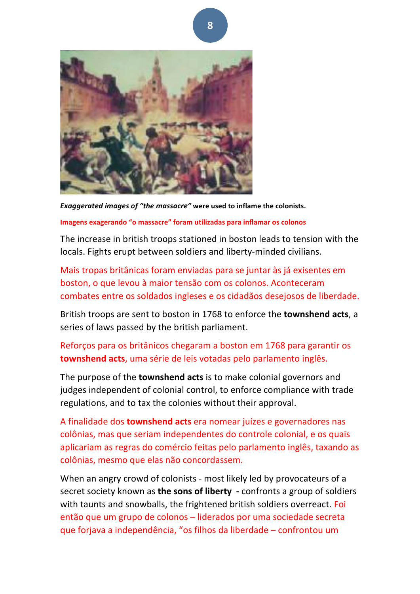

*Exaggerated images of "the massacre"* **were used to inflame the colonists.** 

#### **Imagens exagerando** "o massacre" foram utilizadas para inflamar os colonos

The increase in british troops stationed in boston leads to tension with the locals. Fights erupt between soldiers and liberty-minded civilians.

Mais tropas britânicas foram enviadas para se juntar às já exisentes em boston, o que levou à maior tensão com os colonos. Aconteceram combates entre os soldados ingleses e os cidadãos desejosos de liberdade.

British troops are sent to boston in 1768 to enforce the **townshend acts**, a series of laws passed by the british parliament.

#### Reforcos para os britânicos chegaram a boston em 1768 para garantir os **townshend acts**, uma série de leis votadas pelo parlamento inglês.

The purpose of the **townshend acts** is to make colonial governors and judges independent of colonial control, to enforce compliance with trade regulations, and to tax the colonies without their approval.

A finalidade dos **townshend acts** era nomear juízes e governadores nas colônias, mas que seriam independentes do controle colonial, e os quais aplicariam as regras do comércio feitas pelo parlamento inglês, taxando as colônias, mesmo que elas não concordassem.

When an angry crowd of colonists - most likely led by provocateurs of a secret society known as **the sons of liberty** - confronts a group of soldiers with taunts and snowballs, the frightened british soldiers overreact. Foi então que um grupo de colonos – liderados por uma sociedade secreta que forjava a independência, "os filhos da liberdade – confrontou um